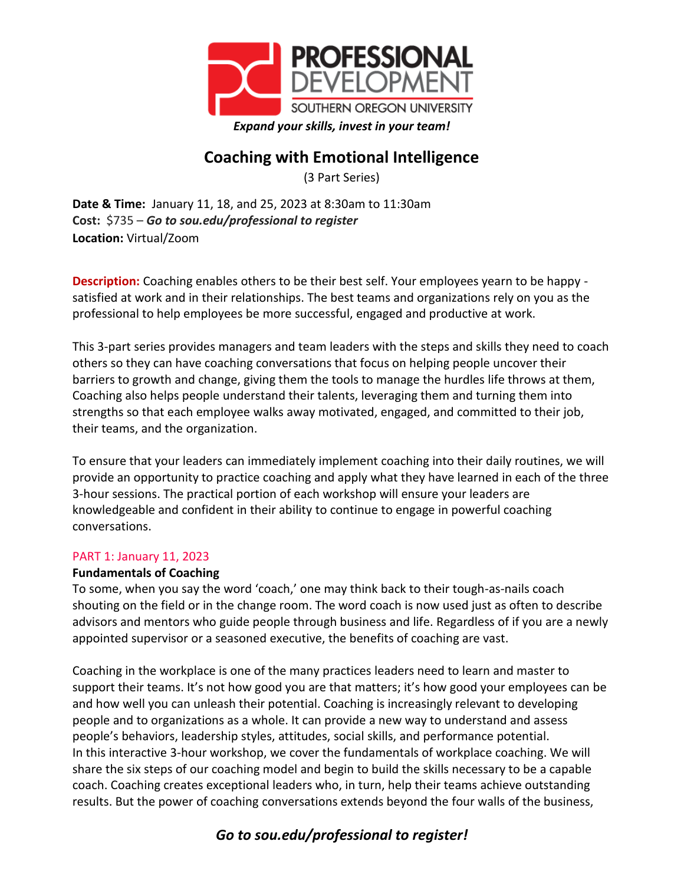

# **Coaching with Emotional Intelligence**

(3 Part Series)

**Date & Time:** January 11, 18, and 25, 2023 at 8:30am to 11:30am **Cost:** \$735 – *Go to sou.edu/professional to register* **Location:** Virtual/Zoom

**Description:** Coaching enables others to be their best self. Your employees yearn to be happy satisfied at work and in their relationships. The best teams and organizations rely on you as the professional to help employees be more successful, engaged and productive at work.

This 3-part series provides managers and team leaders with the steps and skills they need to coach others so they can have coaching conversations that focus on helping people uncover their barriers to growth and change, giving them the tools to manage the hurdles life throws at them, Coaching also helps people understand their talents, leveraging them and turning them into strengths so that each employee walks away motivated, engaged, and committed to their job, their teams, and the organization.

To ensure that your leaders can immediately implement coaching into their daily routines, we will provide an opportunity to practice coaching and apply what they have learned in each of the three 3-hour sessions. The practical portion of each workshop will ensure your leaders are knowledgeable and confident in their ability to continue to engage in powerful coaching conversations.

## PART 1: January 11, 2023

## **Fundamentals of Coaching**

To some, when you say the word 'coach,' one may think back to their tough-as-nails coach shouting on the field or in the change room. The word coach is now used just as often to describe advisors and mentors who guide people through business and life. Regardless of if you are a newly appointed supervisor or a seasoned executive, the benefits of coaching are vast.

Coaching in the workplace is one of the many practices leaders need to learn and master to support their teams. It's not how good you are that matters; it's how good your employees can be and how well you can unleash their potential. Coaching is increasingly relevant to developing people and to organizations as a whole. It can provide a new way to understand and assess people's behaviors, leadership styles, attitudes, social skills, and performance potential. In this interactive 3-hour workshop, we cover the fundamentals of workplace coaching. We will share the six steps of our coaching model and begin to build the skills necessary to be a capable coach. Coaching creates exceptional leaders who, in turn, help their teams achieve outstanding results. But the power of coaching conversations extends beyond the four walls of the business,

## *Go to sou.edu/professional to register!*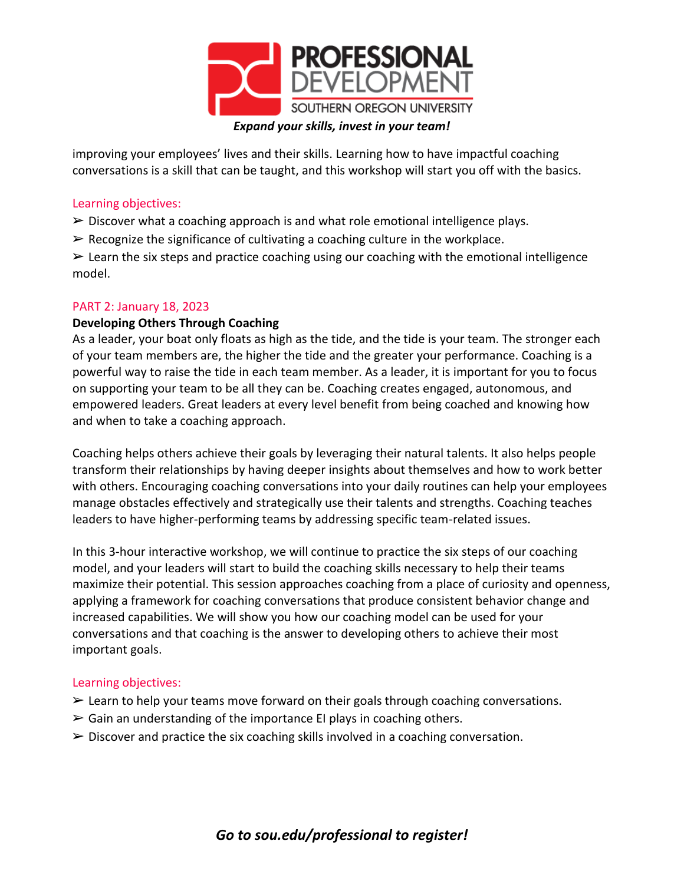

improving your employees' lives and their skills. Learning how to have impactful coaching conversations is a skill that can be taught, and this workshop will start you off with the basics.

#### Learning objectives:

- $\triangleright$  Discover what a coaching approach is and what role emotional intelligence plays.
- $\triangleright$  Recognize the significance of cultivating a coaching culture in the workplace.

 $\triangleright$  Learn the six steps and practice coaching using our coaching with the emotional intelligence model.

## PART 2: January 18, 2023

## **Developing Others Through Coaching**

As a leader, your boat only floats as high as the tide, and the tide is your team. The stronger each of your team members are, the higher the tide and the greater your performance. Coaching is a powerful way to raise the tide in each team member. As a leader, it is important for you to focus on supporting your team to be all they can be. Coaching creates engaged, autonomous, and empowered leaders. Great leaders at every level benefit from being coached and knowing how and when to take a coaching approach.

Coaching helps others achieve their goals by leveraging their natural talents. It also helps people transform their relationships by having deeper insights about themselves and how to work better with others. Encouraging coaching conversations into your daily routines can help your employees manage obstacles effectively and strategically use their talents and strengths. Coaching teaches leaders to have higher-performing teams by addressing specific team-related issues.

In this 3-hour interactive workshop, we will continue to practice the six steps of our coaching model, and your leaders will start to build the coaching skills necessary to help their teams maximize their potential. This session approaches coaching from a place of curiosity and openness, applying a framework for coaching conversations that produce consistent behavior change and increased capabilities. We will show you how our coaching model can be used for your conversations and that coaching is the answer to developing others to achieve their most important goals.

## Learning objectives:

- $\geq$  Learn to help your teams move forward on their goals through coaching conversations.
- $\triangleright$  Gain an understanding of the importance EI plays in coaching others.
- $\triangleright$  Discover and practice the six coaching skills involved in a coaching conversation.